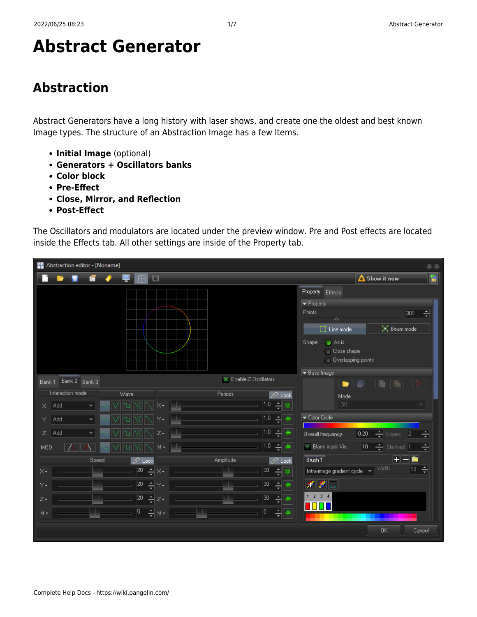# **Abstract Generator**

## **Abstraction**

Abstract Generators have a long history with laser shows, and create one the oldest and best known Image types. The structure of an Abstraction Image has a few Items.

- **Initial Image** (optional)
- **Generators + Oscillators banks**
- **Color block**
- **Pre-Effect**
- **Close, Mirror, and Reflection**
- **Post-Effect**

The Oscillators and modulators are located under the preview window. Pre and Post effects are located inside the Effects tab. All other settings are inside of the Property tab.

| Abstraction editor - [Noname]             |                                  | $\omega$                                                                                          |
|-------------------------------------------|----------------------------------|---------------------------------------------------------------------------------------------------|
| $\boxplus$<br>$\Box$                      |                                  | Đ<br><b>A</b> Show it now                                                                         |
|                                           |                                  | Property Effects                                                                                  |
|                                           |                                  | $\blacktriangleright$ Property                                                                    |
|                                           |                                  | Points<br>싂<br>300<br>$\triangle$                                                                 |
|                                           |                                  | $\times$ Beam mode<br>$\Box$ Line mode                                                            |
|                                           |                                  | $\bullet$ As is<br>Shape:<br>C Close shape<br>O Overlapping points                                |
|                                           |                                  | Base Image                                                                                        |
| Bank 2 Bank 3<br>Bank 1                   | $\times$ Enable Z Oscillators    | ٠<br>眉<br>ië l                                                                                    |
| Interaction mode<br>Wave                  | Periods<br>$\oslash$ Lock        | Mode                                                                                              |
| Add<br>×÷<br>X.<br>٠                      | 1.0 $\frac{1}{2}$ $\frac{48}{3}$ | Off                                                                                               |
| ٧÷<br>Add<br>Y.                           | 1.0 <br>싂                        | Color Cycle                                                                                       |
| Add<br>$Z\star$<br>Z                      | 1.0 <br>÷                        | $\boxed{0.20 \quad \rightleftharpoons}$ Copies<br>Overall frequency<br>$\vert$ 2<br>쉬             |
| $M -$<br>MOD                              | 1.0 <br>$\div$                   | $\begin{vmatrix} 10 & \frac{1}{2} \end{vmatrix}$ Blanked 1<br>$\blacksquare$ Blank mask Vis.<br>ᆌ |
| Speed<br>$\mathscr{D}$ Lock               | Amplitude<br>$\mathscr{D}$ Lock  | $+$ $-$<br>Brush 1                                                                                |
| $ ^{20}$ $\div$ $\times$<br>$\times$      | 30                               | Width<br>10 쉬<br>Intra-image gradient cycle = =                                                   |
| $ 20-\frac{1}{\sqrt{2}} $ Y $\star$<br>Y. | 30                               | $\mathcal{F}[\mathcal{L}]$                                                                        |
| $ ^{20}$ $\div$ $ z+$<br>$Z_{\star}$      | 30 <br>싂                         | $1 \t2 \t3 \t4$                                                                                   |
| $5 - \frac{1}{2}M$<br>$M -$               | o,<br>令                          | 11 I I                                                                                            |
|                                           |                                  | <b>OK</b><br>Cancel                                                                               |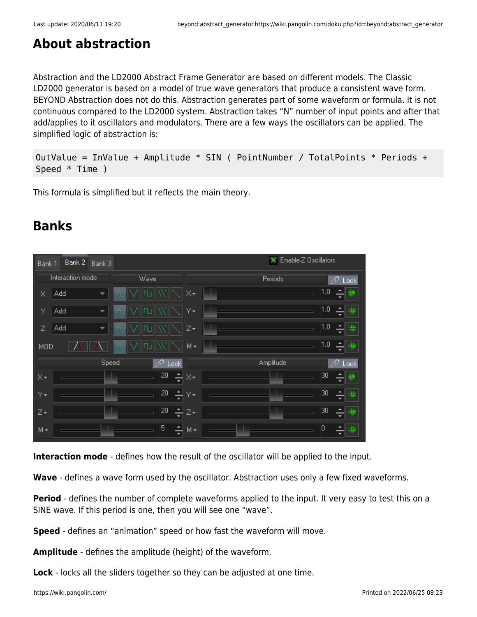#### **About abstraction**

Abstraction and the LD2000 Abstract Frame Generator are based on different models. The Classic LD2000 generator is based on a model of true wave generators that produce a consistent wave form. BEYOND Abstraction does not do this. Abstraction generates part of some waveform or formula. It is not continuous compared to the LD2000 system. Abstraction takes "N" number of input points and after that add/applies to it oscillators and modulators. There are a few ways the oscillators can be applied. The simplified logic of abstraction is:

```
OutValue = InValue + Amplitude * SIN ( PointNumber / TotalPoints * Periods +
Speed * Time )
```
This formula is simplified but it reflects the main theory.

#### **Banks**

| Bank 1     | Bank 2           | Bank 3 |      |                |                              |  | ×         | Enable Z Oscillators |     |                |
|------------|------------------|--------|------|----------------|------------------------------|--|-----------|----------------------|-----|----------------|
|            | Interaction mode |        | Wave |                |                              |  | Periods   |                      |     | D.<br>Lock     |
| X          | Add              |        |      |                | X×                           |  |           |                      | 1.0 | ىئالان         |
| Υ          | Add              | ▼      |      |                | Y۰                           |  |           |                      | 1.0 | ∸<br>珊<br>٠    |
| Ζ          | Add              | ▼      |      |                | Z۰                           |  |           |                      | 1.0 | ₩              |
| <b>MOD</b> |                  |        |      |                | $M +$                        |  |           |                      | 1.0 | e<br>珊<br>-    |
|            |                  | Speed  |      | $\oslash$ Lock |                              |  | Amplitude |                      |     | $\oslash$ Lock |
| ∣×∗        |                  |        |      | 20<br>싂        | $\times\hspace{-0.7mm}\star$ |  |           |                      | 30  | Ê<br>珊<br>-    |
| Y۰         |                  |        |      | 20<br>싂        | Y۰                           |  |           |                      | 30  | 4 #<br>٠       |
| lz∙        |                  |        |      | 20<br>싂        | $Z+$                         |  |           |                      | 30  | e<br>珊<br>-    |
| $M +$      |                  |        |      | 5<br>싂         | $M +$                        |  |           |                      | 10  | 柵<br>۰         |

**Interaction mode** - defines how the result of the oscillator will be applied to the input.

**Wave** - defines a wave form used by the oscillator. Abstraction uses only a few fixed waveforms.

**Period** - defines the number of complete waveforms applied to the input. It very easy to test this on a SINE wave. If this period is one, then you will see one "wave".

**Speed** - defines an "animation" speed or how fast the waveform will move.

**Amplitude** - defines the amplitude (height) of the waveform.

**Lock** - locks all the sliders together so they can be adjusted at one time.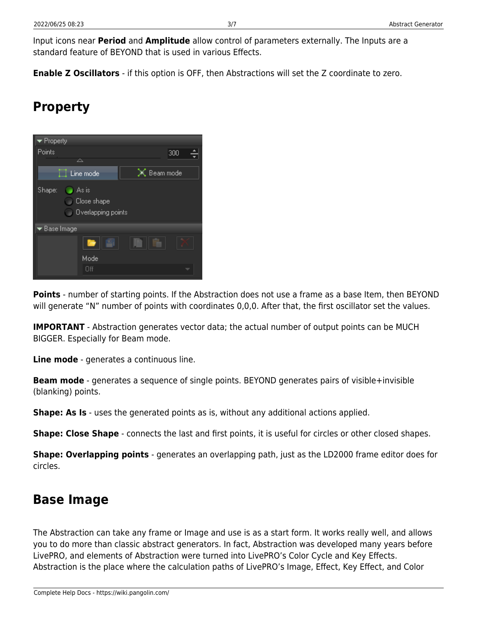Input icons near **Period** and **Amplitude** allow control of parameters externally. The Inputs are a standard feature of BEYOND that is used in various Effects.

**Enable Z Oscillators** - if this option is OFF, then Abstractions will set the Z coordinate to zero.

## **Property**



**Points** - number of starting points. If the Abstraction does not use a frame as a base Item, then BEYOND will generate "N" number of points with coordinates 0,0,0. After that, the first oscillator set the values.

**IMPORTANT** - Abstraction generates vector data; the actual number of output points can be MUCH BIGGER. Especially for Beam mode.

**Line mode** - generates a continuous line.

**Beam mode** - generates a sequence of single points. BEYOND generates pairs of visible+invisible (blanking) points.

**Shape: As Is** - uses the generated points as is, without any additional actions applied.

**Shape: Close Shape** - connects the last and first points, it is useful for circles or other closed shapes.

**Shape: Overlapping points** - generates an overlapping path, just as the LD2000 frame editor does for circles.

#### **Base Image**

The Abstraction can take any frame or Image and use is as a start form. It works really well, and allows you to do more than classic abstract generators. In fact, Abstraction was developed many years before LivePRO, and elements of Abstraction were turned into LivePRO's Color Cycle and Key Effects. Abstraction is the place where the calculation paths of LivePRO's Image, Effect, Key Effect, and Color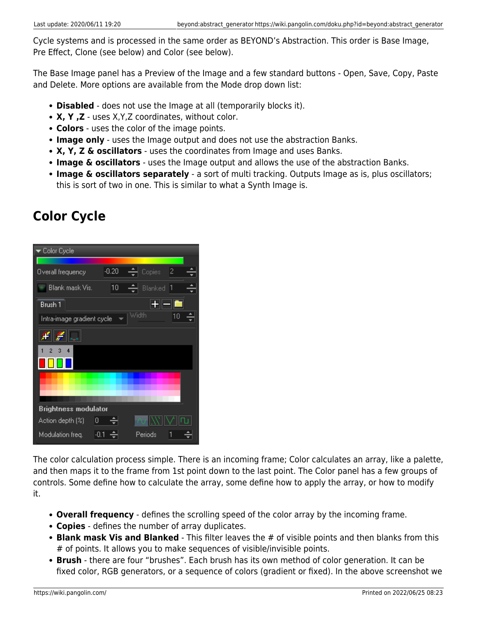Cycle systems and is processed in the same order as BEYOND's Abstraction. This order is Base Image, Pre Effect, Clone (see below) and Color (see below).

The Base Image panel has a Preview of the Image and a few standard buttons - Open, Save, Copy, Paste and Delete. More options are available from the Mode drop down list:

- **Disabled** does not use the Image at all (temporarily blocks it).
- **X, Y ,Z** uses X,Y,Z coordinates, without color.
- **Colors** uses the color of the image points.
- **Image only** uses the Image output and does not use the abstraction Banks.
- **X, Y, Z & oscillators** uses the coordinates from Image and uses Banks.
- **Image & oscillators** uses the Image output and allows the use of the abstraction Banks.
- **Image & oscillators separately** a sort of multi tracking. Outputs Image as is, plus oscillators; this is sort of two in one. This is similar to what a Synth Image is.

## **Color Cycle**



The color calculation process simple. There is an incoming frame; Color calculates an array, like a palette, and then maps it to the frame from 1st point down to the last point. The Color panel has a few groups of controls. Some define how to calculate the array, some define how to apply the array, or how to modify it.

- **Overall frequency** defines the scrolling speed of the color array by the incoming frame.
- **Copies** defines the number of array duplicates.
- **Blank mask Vis and Blanked** This filter leaves the # of visible points and then blanks from this # of points. It allows you to make sequences of visible/invisible points.
- **Brush** there are four "brushes". Each brush has its own method of color generation. It can be fixed color, RGB generators, or a sequence of colors (gradient or fixed). In the above screenshot we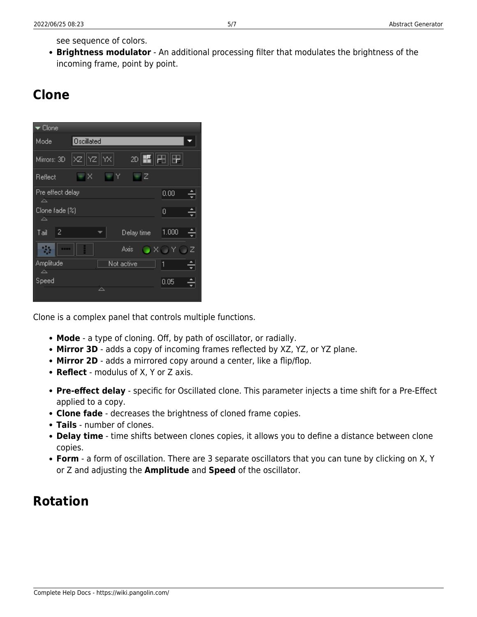see sequence of colors.

**Brightness modulator** - An additional processing filter that modulates the brightness of the incoming frame, point by point.

## **Clone**



Clone is a complex panel that controls multiple functions.

- **Mode** a type of cloning. Off, by path of oscillator, or radially.
- **Mirror 3D** adds a copy of incoming frames reflected by XZ, YZ, or YZ plane.
- Mirror 2D adds a mirrored copy around a center, like a flip/flop.
- **Reflect** modulus of X, Y or Z axis.
- **Pre-effect delay** specific for Oscillated clone. This parameter injects a time shift for a Pre-Effect applied to a copy.
- **Clone fade** decreases the brightness of cloned frame copies.
- **Tails** number of clones.
- **Delay time** time shifts between clones copies, it allows you to define a distance between clone copies.
- **Form** a form of oscillation. There are 3 separate oscillators that you can tune by clicking on X, Y or Z and adjusting the **Amplitude** and **Speed** of the oscillator.

#### **Rotation**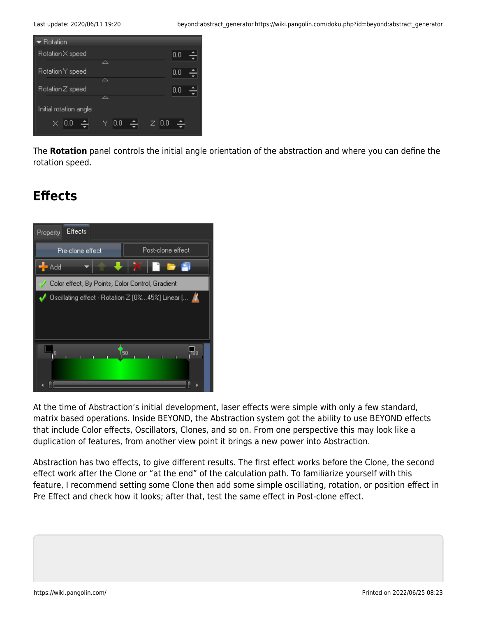

The **Rotation** panel controls the initial angle orientation of the abstraction and where you can define the rotation speed.

## **Effects**



At the time of Abstraction's initial development, laser effects were simple with only a few standard, matrix based operations. Inside BEYOND, the Abstraction system got the ability to use BEYOND effects that include Color effects, Oscillators, Clones, and so on. From one perspective this may look like a duplication of features, from another view point it brings a new power into Abstraction.

Abstraction has two effects, to give different results. The first effect works before the Clone, the second effect work after the Clone or "at the end" of the calculation path. To familiarize yourself with this feature, I recommend setting some Clone then add some simple oscillating, rotation, or position effect in Pre Effect and check how it looks; after that, test the same effect in Post-clone effect.